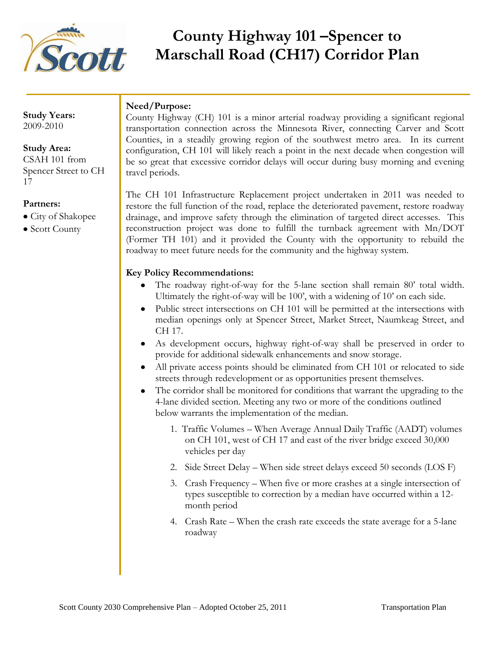

# **County Highway 101 –Spencer to Marschall Road (CH17) Corridor Plan**

**Study Years:** 2009-2010

#### **Study Area:**

CSAH 101 from Spencer Street to CH 17

#### **Partners:**

- City of Shakopee
- Scott County

## **Need/Purpose:**

County Highway (CH) 101 is a minor arterial roadway providing a significant regional transportation connection across the Minnesota River, connecting Carver and Scott Counties, in a steadily growing region of the southwest metro area. In its current configuration, CH 101 will likely reach a point in the next decade when congestion will be so great that excessive corridor delays will occur during busy morning and evening travel periods.

The CH 101 Infrastructure Replacement project undertaken in 2011 was needed to restore the full function of the road, replace the deteriorated pavement, restore roadway drainage, and improve safety through the elimination of targeted direct accesses. This reconstruction project was done to fulfill the turnback agreement with Mn/DOT (Former TH 101) and it provided the County with the opportunity to rebuild the roadway to meet future needs for the community and the highway system.

### **Key Policy Recommendations:**

- The roadway right-of-way for the 5-lane section shall remain 80' total width. Ultimately the right-of-way will be 100', with a widening of 10' on each side.
- Public street intersections on CH 101 will be permitted at the intersections with median openings only at Spencer Street, Market Street, Naumkeag Street, and CH 17.
- As development occurs, highway right-of-way shall be preserved in order to provide for additional sidewalk enhancements and snow storage.
- All private access points should be eliminated from CH 101 or relocated to side streets through redevelopment or as opportunities present themselves.
- The corridor shall be monitored for conditions that warrant the upgrading to the 4-lane divided section. Meeting any two or more of the conditions outlined below warrants the implementation of the median.
	- 1. Traffic Volumes When Average Annual Daily Traffic (AADT) volumes on CH 101, west of CH 17 and east of the river bridge exceed 30,000 vehicles per day
	- 2. Side Street Delay When side street delays exceed 50 seconds (LOS F)
	- 3. Crash Frequency When five or more crashes at a single intersection of types susceptible to correction by a median have occurred within a 12 month period
	- 4. Crash Rate When the crash rate exceeds the state average for a 5-lane roadway